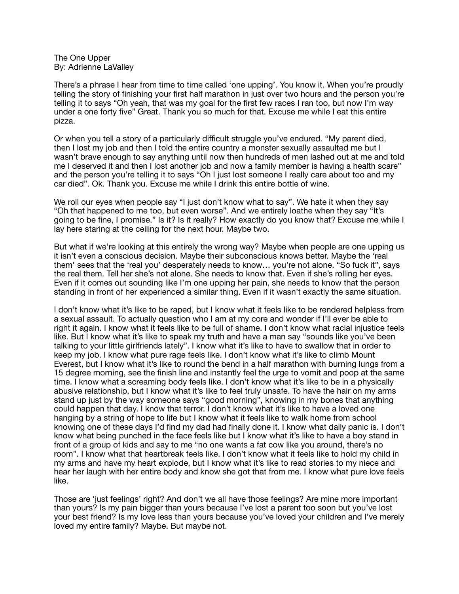The One Upper By: Adrienne LaValley

There's a phrase I hear from time to time called 'one upping'. You know it. When you're proudly telling the story of finishing your first half marathon in just over two hours and the person you're telling it to says "Oh yeah, that was my goal for the first few races I ran too, but now I'm way under a one forty five" Great. Thank you so much for that. Excuse me while I eat this entire pizza.

Or when you tell a story of a particularly difficult struggle you've endured. "My parent died, then I lost my job and then I told the entire country a monster sexually assaulted me but I wasn't brave enough to say anything until now then hundreds of men lashed out at me and told me I deserved it and then I lost another job and now a family member is having a health scare" and the person you're telling it to says "Oh I just lost someone I really care about too and my car died". Ok. Thank you. Excuse me while I drink this entire bottle of wine.

We roll our eyes when people say "I just don't know what to say". We hate it when they say "Oh that happened to me too, but even worse". And we entirely loathe when they say "It's going to be fine, I promise." Is it? Is it really? How exactly do you know that? Excuse me while I lay here staring at the ceiling for the next hour. Maybe two.

But what if we're looking at this entirely the wrong way? Maybe when people are one upping us it isn't even a conscious decision. Maybe their subconscious knows better. Maybe the 'real them' sees that the 'real you' desperately needs to know… you're not alone. "So fuck it", says the real them. Tell her she's not alone. She needs to know that. Even if she's rolling her eyes. Even if it comes out sounding like I'm one upping her pain, she needs to know that the person standing in front of her experienced a similar thing. Even if it wasn't exactly the same situation.

I don't know what it's like to be raped, but I know what it feels like to be rendered helpless from a sexual assault. To actually question who I am at my core and wonder if I'll ever be able to right it again. I know what it feels like to be full of shame. I don't know what racial injustice feels like. But I know what it's like to speak my truth and have a man say "sounds like you've been talking to your little girlfriends lately". I know what it's like to have to swallow that in order to keep my job. I know what pure rage feels like. I don't know what it's like to climb Mount Everest, but I know what it's like to round the bend in a half marathon with burning lungs from a 15 degree morning, see the finish line and instantly feel the urge to vomit and poop at the same time. I know what a screaming body feels like. I don't know what it's like to be in a physically abusive relationship, but I know what it's like to feel truly unsafe. To have the hair on my arms stand up just by the way someone says "good morning", knowing in my bones that anything could happen that day. I know that terror. I don't know what it's like to have a loved one hanging by a string of hope to life but I know what it feels like to walk home from school knowing one of these days I'd find my dad had finally done it. I know what daily panic is. I don't know what being punched in the face feels like but I know what it's like to have a boy stand in front of a group of kids and say to me "no one wants a fat cow like you around, there's no room". I know what that heartbreak feels like. I don't know what it feels like to hold my child in my arms and have my heart explode, but I know what it's like to read stories to my niece and hear her laugh with her entire body and know she got that from me. I know what pure love feels like.

Those are 'just feelings' right? And don't we all have those feelings? Are mine more important than yours? Is my pain bigger than yours because I've lost a parent too soon but you've lost your best friend? Is my love less than yours because you've loved your children and I've merely loved my entire family? Maybe. But maybe not.